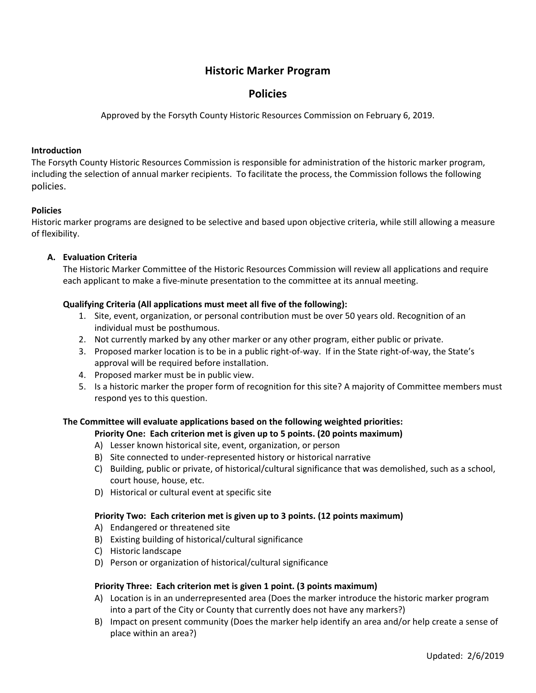# **Historic Marker Program**

# **Policies**

Approved by the Forsyth County Historic Resources Commission on February 6, 2019.

#### **Introduction**

The Forsyth County Historic Resources Commission is responsible for administration of the historic marker program, including the selection of annual marker recipients. To facilitate the process, the Commission follows the following policies.

### **Policies**

Historic marker programs are designed to be selective and based upon objective criteria, while still allowing a measure of flexibility.

### **A. Evaluation Criteria**

The Historic Marker Committee of the Historic Resources Commission will review all applications and require each applicant to make a five-minute presentation to the committee at its annual meeting.

## **Qualifying Criteria (All applications must meet all five of the following):**

- 1. Site, event, organization, or personal contribution must be over 50 years old. Recognition of an individual must be posthumous.
- 2. Not currently marked by any other marker or any other program, either public or private.
- 3. Proposed marker location is to be in a public right‐of‐way. If in the State right‐of‐way, the State's approval will be required before installation.
- 4. Proposed marker must be in public view.
- 5. Is a historic marker the proper form of recognition for this site? A majority of Committee members must respond yes to this question.

# **The Committee will evaluate applications based on the following weighted priorities:**

### **Priority One: Each criterion met is given up to 5 points. (20 points maximum)**

- A) Lesser known historical site, event, organization, or person
- B) Site connected to under‐represented history or historical narrative
- C) Building, public or private, of historical/cultural significance that was demolished, such as a school, court house, house, etc.
- D) Historical or cultural event at specific site

### **Priority Two: Each criterion met is given up to 3 points. (12 points maximum)**

- A) Endangered or threatened site
- B) Existing building of historical/cultural significance
- C) Historic landscape
- D) Person or organization of historical/cultural significance

### **Priority Three: Each criterion met is given 1 point. (3 points maximum)**

- A) Location is in an underrepresented area (Does the marker introduce the historic marker program into a part of the City or County that currently does not have any markers?)
- B) Impact on present community (Does the marker help identify an area and/or help create a sense of place within an area?)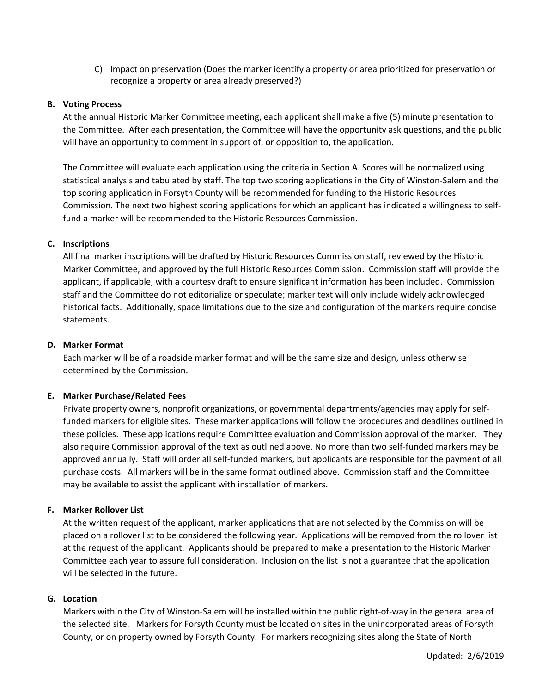C) Impact on preservation (Does the marker identify a property or area prioritized for preservation or recognize a property or area already preserved?)

#### **B. Voting Process**

At the annual Historic Marker Committee meeting, each applicant shall make a five (5) minute presentation to the Committee. After each presentation, the Committee will have the opportunity ask questions, and the public will have an opportunity to comment in support of, or opposition to, the application.

The Committee will evaluate each application using the criteria in Section A. Scores will be normalized using statistical analysis and tabulated by staff. The top two scoring applications in the City of Winston‐Salem and the top scoring application in Forsyth County will be recommended for funding to the Historic Resources Commission. The next two highest scoring applications for which an applicant has indicated a willingness to self‐ fund a marker will be recommended to the Historic Resources Commission.

### **C. Inscriptions**

All final marker inscriptions will be drafted by Historic Resources Commission staff, reviewed by the Historic Marker Committee, and approved by the full Historic Resources Commission. Commission staff will provide the applicant, if applicable, with a courtesy draft to ensure significant information has been included. Commission staff and the Committee do not editorialize or speculate; marker text will only include widely acknowledged historical facts. Additionally, space limitations due to the size and configuration of the markers require concise statements.

#### **D. Marker Format**

Each marker will be of a roadside marker format and will be the same size and design, unless otherwise determined by the Commission.

### **E. Marker Purchase/Related Fees**

Private property owners, nonprofit organizations, or governmental departments/agencies may apply for self‐ funded markers for eligible sites. These marker applications will follow the procedures and deadlines outlined in these policies. These applications require Committee evaluation and Commission approval of the marker. They also require Commission approval of the text as outlined above. No more than two self-funded markers may be approved annually. Staff will order all self‐funded markers, but applicants are responsible for the payment of all purchase costs. All markers will be in the same format outlined above. Commission staff and the Committee may be available to assist the applicant with installation of markers.

### **F. Marker Rollover List**

At the written request of the applicant, marker applications that are not selected by the Commission will be placed on a rollover list to be considered the following year. Applications will be removed from the rollover list at the request of the applicant. Applicants should be prepared to make a presentation to the Historic Marker Committee each year to assure full consideration. Inclusion on the list is not a guarantee that the application will be selected in the future.

#### **G. Location**

Markers within the City of Winston‐Salem will be installed within the public right‐of‐way in the general area of the selected site. Markers for Forsyth County must be located on sites in the unincorporated areas of Forsyth County, or on property owned by Forsyth County. For markers recognizing sites along the State of North